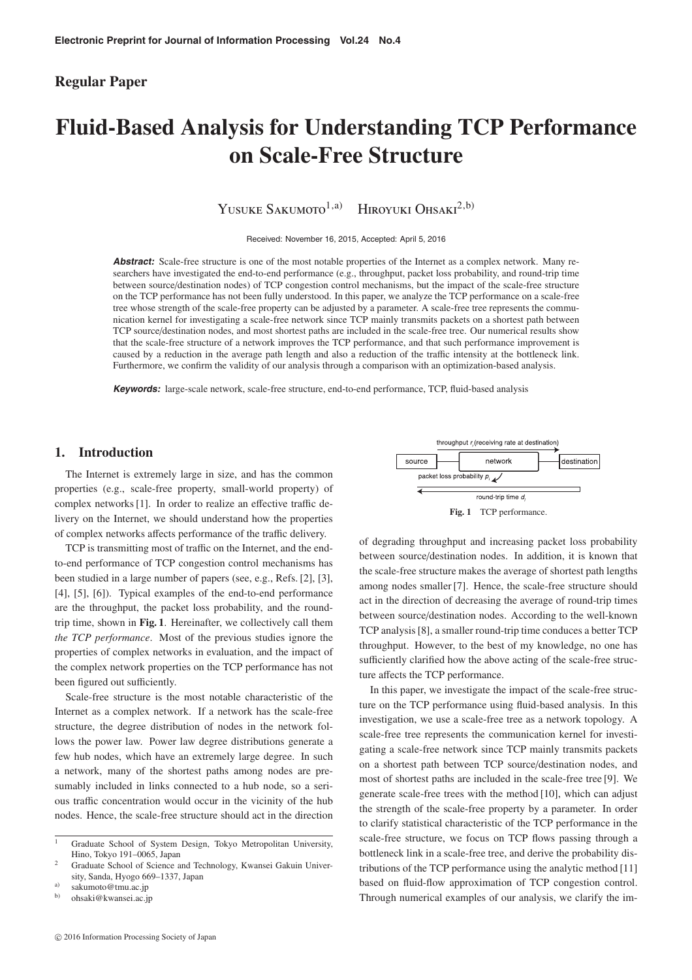## **Regular Paper**

# **Fluid-Based Analysis for Understanding TCP Performance on Scale-Free Structure**

YUSUKE SAKUMOTO<sup>1,a)</sup> HIROYUKI OHSAKI<sup>2,b)</sup>

Received: November 16, 2015, Accepted: April 5, 2016

Abstract: Scale-free structure is one of the most notable properties of the Internet as a complex network. Many researchers have investigated the end-to-end performance (e.g., throughput, packet loss probability, and round-trip time between source/destination nodes) of TCP congestion control mechanisms, but the impact of the scale-free structure on the TCP performance has not been fully understood. In this paper, we analyze the TCP performance on a scale-free tree whose strength of the scale-free property can be adjusted by a parameter. A scale-free tree represents the communication kernel for investigating a scale-free network since TCP mainly transmits packets on a shortest path between TCP source/destination nodes, and most shortest paths are included in the scale-free tree. Our numerical results show that the scale-free structure of a network improves the TCP performance, and that such performance improvement is caused by a reduction in the average path length and also a reduction of the traffic intensity at the bottleneck link. Furthermore, we confirm the validity of our analysis through a comparison with an optimization-based analysis.

**Keywords:** large-scale network, scale-free structure, end-to-end performance, TCP, fluid-based analysis

## **1. Introduction**

The Internet is extremely large in size, and has the common properties (e.g., scale-free property, small-world property) of complex networks [1]. In order to realize an effective traffic delivery on the Internet, we should understand how the properties of complex networks affects performance of the traffic delivery.

TCP is transmitting most of traffic on the Internet, and the endto-end performance of TCP congestion control mechanisms has been studied in a large number of papers (see, e.g., Refs. [2], [3], [4], [5], [6]). Typical examples of the end-to-end performance are the throughput, the packet loss probability, and the roundtrip time, shown in **Fig. 1**. Hereinafter, we collectively call them *the TCP performance*. Most of the previous studies ignore the properties of complex networks in evaluation, and the impact of the complex network properties on the TCP performance has not been figured out sufficiently.

Scale-free structure is the most notable characteristic of the Internet as a complex network. If a network has the scale-free structure, the degree distribution of nodes in the network follows the power law. Power law degree distributions generate a few hub nodes, which have an extremely large degree. In such a network, many of the shortest paths among nodes are presumably included in links connected to a hub node, so a serious traffic concentration would occur in the vicinity of the hub nodes. Hence, the scale-free structure should act in the direction

b) ohsaki@kwansei.ac.jp





**Fig. 1** TCP performance.

of degrading throughput and increasing packet loss probability between source/destination nodes. In addition, it is known that the scale-free structure makes the average of shortest path lengths among nodes smaller [7]. Hence, the scale-free structure should act in the direction of decreasing the average of round-trip times between source/destination nodes. According to the well-known TCP analysis [8], a smaller round-trip time conduces a better TCP throughput. However, to the best of my knowledge, no one has sufficiently clarified how the above acting of the scale-free structure affects the TCP performance.

In this paper, we investigate the impact of the scale-free structure on the TCP performance using fluid-based analysis. In this investigation, we use a scale-free tree as a network topology. A scale-free tree represents the communication kernel for investigating a scale-free network since TCP mainly transmits packets on a shortest path between TCP source/destination nodes, and most of shortest paths are included in the scale-free tree [9]. We generate scale-free trees with the method [10], which can adjust the strength of the scale-free property by a parameter. In order to clarify statistical characteristic of the TCP performance in the scale-free structure, we focus on TCP flows passing through a bottleneck link in a scale-free tree, and derive the probability distributions of the TCP performance using the analytic method [11] based on fluid-flow approximation of TCP congestion control. Through numerical examples of our analysis, we clarify the im-

<sup>1</sup> Graduate School of System Design, Tokyo Metropolitan University, Hino, Tokyo 191–0065, Japan

<sup>&</sup>lt;sup>2</sup> Graduate School of Science and Technology, Kwansei Gakuin University, Sanda, Hyogo 669–1337, Japan

<sup>&</sup>lt;sup>a)</sup> sakumoto@tmu.ac.jp<br>b) obseki@kwaneej ee ii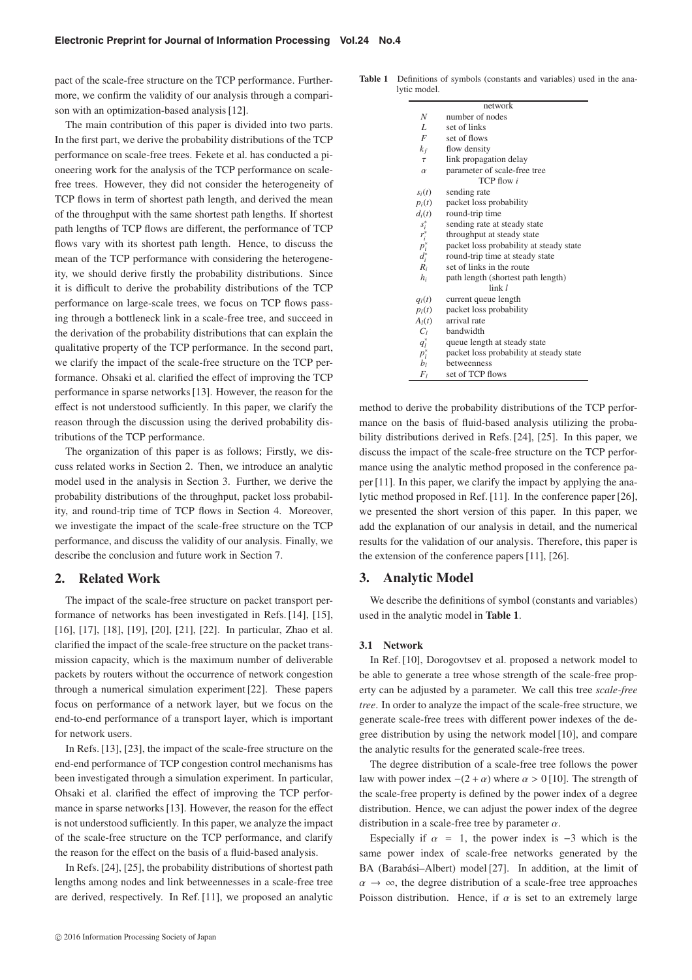pact of the scale-free structure on the TCP performance. Furthermore, we confirm the validity of our analysis through a comparison with an optimization-based analysis [12].

The main contribution of this paper is divided into two parts. In the first part, we derive the probability distributions of the TCP performance on scale-free trees. Fekete et al. has conducted a pioneering work for the analysis of the TCP performance on scalefree trees. However, they did not consider the heterogeneity of TCP flows in term of shortest path length, and derived the mean of the throughput with the same shortest path lengths. If shortest path lengths of TCP flows are different, the performance of TCP flows vary with its shortest path length. Hence, to discuss the mean of the TCP performance with considering the heterogeneity, we should derive firstly the probability distributions. Since it is difficult to derive the probability distributions of the TCP performance on large-scale trees, we focus on TCP flows passing through a bottleneck link in a scale-free tree, and succeed in the derivation of the probability distributions that can explain the qualitative property of the TCP performance. In the second part, we clarify the impact of the scale-free structure on the TCP performance. Ohsaki et al. clarified the effect of improving the TCP performance in sparse networks [13]. However, the reason for the effect is not understood sufficiently. In this paper, we clarify the reason through the discussion using the derived probability distributions of the TCP performance.

The organization of this paper is as follows; Firstly, we discuss related works in Section 2. Then, we introduce an analytic model used in the analysis in Section 3. Further, we derive the probability distributions of the throughput, packet loss probability, and round-trip time of TCP flows in Section 4. Moreover, we investigate the impact of the scale-free structure on the TCP performance, and discuss the validity of our analysis. Finally, we describe the conclusion and future work in Section 7.

## **2. Related Work**

The impact of the scale-free structure on packet transport performance of networks has been investigated in Refs. [14], [15], [16], [17], [18], [19], [20], [21], [22]. In particular, Zhao et al. clarified the impact of the scale-free structure on the packet transmission capacity, which is the maximum number of deliverable packets by routers without the occurrence of network congestion through a numerical simulation experiment [22]. These papers focus on performance of a network layer, but we focus on the end-to-end performance of a transport layer, which is important for network users.

In Refs. [13], [23], the impact of the scale-free structure on the end-end performance of TCP congestion control mechanisms has been investigated through a simulation experiment. In particular, Ohsaki et al. clarified the effect of improving the TCP performance in sparse networks [13]. However, the reason for the effect is not understood sufficiently. In this paper, we analyze the impact of the scale-free structure on the TCP performance, and clarify the reason for the effect on the basis of a fluid-based analysis.

In Refs. [24], [25], the probability distributions of shortest path lengths among nodes and link betweennesses in a scale-free tree are derived, respectively. In Ref. [11], we proposed an analytic

| <b>Table 1</b> Definitions of symbols (constants and variables) used in the ana- |
|----------------------------------------------------------------------------------|
| lytic model.                                                                     |

|                                                                 | network                                 |  |  |  |  |
|-----------------------------------------------------------------|-----------------------------------------|--|--|--|--|
| N                                                               | number of nodes                         |  |  |  |  |
| $\overline{L}$                                                  | set of links                            |  |  |  |  |
| $\overline{F}$                                                  | set of flows                            |  |  |  |  |
| $k_f$                                                           | flow density                            |  |  |  |  |
| $\tau$                                                          | link propagation delay                  |  |  |  |  |
| $\alpha$                                                        | parameter of scale-free tree            |  |  |  |  |
| TCP flow i                                                      |                                         |  |  |  |  |
| $s_i(t)$                                                        | sending rate                            |  |  |  |  |
| $p_i(t)$                                                        | packet loss probability                 |  |  |  |  |
| $d_i(t)$                                                        | round-trip time                         |  |  |  |  |
|                                                                 | sending rate at steady state            |  |  |  |  |
| $\begin{array}{c} s_i^* \\ r_i^* \\ p_i^* \\ d_i^* \end{array}$ | throughput at steady state              |  |  |  |  |
|                                                                 | packet loss probability at steady state |  |  |  |  |
|                                                                 | round-trip time at steady state         |  |  |  |  |
| $R_i$                                                           | set of links in the route               |  |  |  |  |
| $h_i$                                                           | path length (shortest path length)      |  |  |  |  |
| $\ln k$ $\ell$                                                  |                                         |  |  |  |  |
| $q_l(t)$                                                        | current queue length                    |  |  |  |  |
| $p_l(t)$                                                        | packet loss probability                 |  |  |  |  |
| $A_l(t)$                                                        | arrival rate                            |  |  |  |  |
| $C_l$                                                           | bandwidth                               |  |  |  |  |
| $q_l^*$                                                         | queue length at steady state            |  |  |  |  |
| $p_l^*$                                                         | packet loss probability at steady state |  |  |  |  |
| $b_l$                                                           | betweenness                             |  |  |  |  |
| $F_I$                                                           | set of TCP flows                        |  |  |  |  |

method to derive the probability distributions of the TCP performance on the basis of fluid-based analysis utilizing the probability distributions derived in Refs. [24], [25]. In this paper, we discuss the impact of the scale-free structure on the TCP performance using the analytic method proposed in the conference paper [11]. In this paper, we clarify the impact by applying the analytic method proposed in Ref. [11]. In the conference paper [26], we presented the short version of this paper. In this paper, we add the explanation of our analysis in detail, and the numerical results for the validation of our analysis. Therefore, this paper is the extension of the conference papers [11], [26].

## **3. Analytic Model**

We describe the definitions of symbol (constants and variables) used in the analytic model in **Table 1**.

#### **3.1 Network**

In Ref. [10], Dorogovtsev et al. proposed a network model to be able to generate a tree whose strength of the scale-free property can be adjusted by a parameter. We call this tree *scale-free tree*. In order to analyze the impact of the scale-free structure, we generate scale-free trees with different power indexes of the degree distribution by using the network model [10], and compare the analytic results for the generated scale-free trees.

The degree distribution of a scale-free tree follows the power law with power index  $-(2 + \alpha)$  where  $\alpha > 0$  [10]. The strength of the scale-free property is defined by the power index of a degree distribution. Hence, we can adjust the power index of the degree distribution in a scale-free tree by parameter  $\alpha$ .

Especially if  $\alpha = 1$ , the power index is -3 which is the same power index of scale-free networks generated by the BA (Barabási-Albert) model [27]. In addition, at the limit of  $\alpha \rightarrow \infty$ , the degree distribution of a scale-free tree approaches Poisson distribution. Hence, if  $\alpha$  is set to an extremely large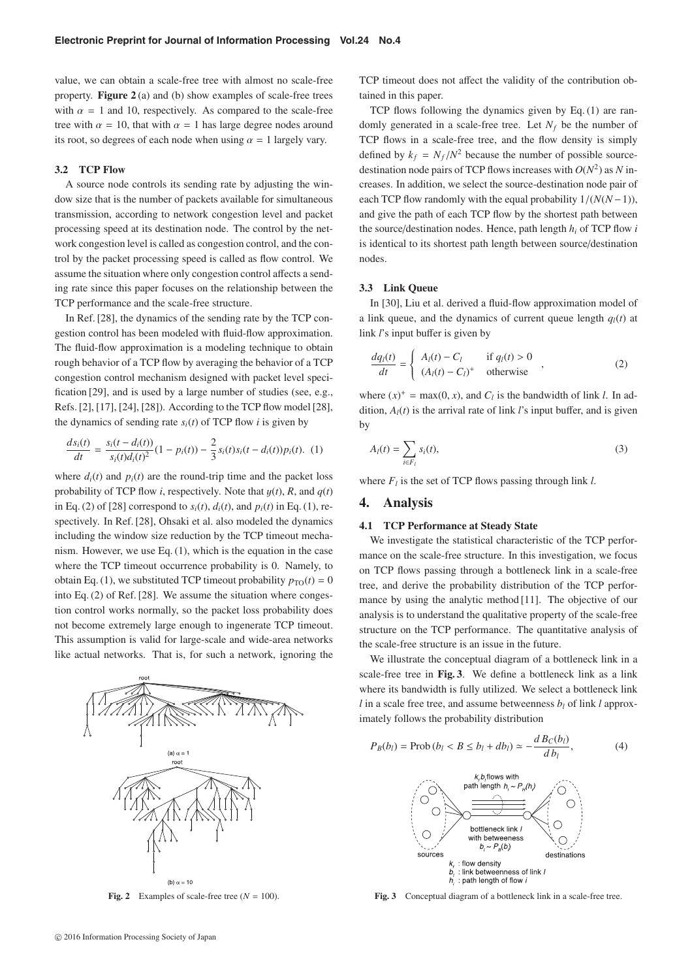value, we can obtain a scale-free tree with almost no scale-free property. **Figure 2** (a) and (b) show examples of scale-free trees with  $\alpha = 1$  and 10, respectively. As compared to the scale-free tree with  $\alpha = 10$ , that with  $\alpha = 1$  has large degree nodes around its root, so degrees of each node when using  $\alpha = 1$  largely vary.

## **3.2 TCP Flow**

A source node controls its sending rate by adjusting the window size that is the number of packets available for simultaneous transmission, according to network congestion level and packet processing speed at its destination node. The control by the network congestion level is called as congestion control, and the control by the packet processing speed is called as flow control. We assume the situation where only congestion control affects a sending rate since this paper focuses on the relationship between the TCP performance and the scale-free structure.

In Ref. [28], the dynamics of the sending rate by the TCP congestion control has been modeled with fluid-flow approximation. The fluid-flow approximation is a modeling technique to obtain rough behavior of a TCP flow by averaging the behavior of a TCP congestion control mechanism designed with packet level specification [29], and is used by a large number of studies (see, e.g., Refs. [2], [17], [24], [28]). According to the TCP flow model [28], the dynamics of sending rate  $s_i(t)$  of TCP flow *i* is given by

$$
\frac{ds_i(t)}{dt} = \frac{s_i(t - d_i(t))}{s_i(t)d_i(t)^2} (1 - p_i(t)) - \frac{2}{3} s_i(t)s_i(t - d_i(t)) p_i(t). \tag{1}
$$

where  $d_i(t)$  and  $p_i(t)$  are the round-trip time and the packet loss probability of TCP flow *i*, respectively. Note that  $y(t)$ , *R*, and  $q(t)$ in Eq. (2) of [28] correspond to  $s_i(t)$ ,  $d_i(t)$ , and  $p_i(t)$  in Eq. (1), respectively. In Ref. [28], Ohsaki et al. also modeled the dynamics including the window size reduction by the TCP timeout mechanism. However, we use Eq. (1), which is the equation in the case where the TCP timeout occurrence probability is 0. Namely, to obtain Eq. (1), we substituted TCP timeout probability  $p_{\text{TO}}(t) = 0$ into Eq. (2) of Ref. [28]. We assume the situation where congestion control works normally, so the packet loss probability does not become extremely large enough to ingenerate TCP timeout. This assumption is valid for large-scale and wide-area networks like actual networks. That is, for such a network, ignoring the



**Fig. 2** Examples of scale-free tree  $(N = 100)$ .

TCP timeout does not affect the validity of the contribution obtained in this paper.

TCP flows following the dynamics given by Eq. (1) are randomly generated in a scale-free tree. Let  $N_f$  be the number of TCP flows in a scale-free tree, and the flow density is simply defined by  $k_f = N_f/N^2$  because the number of possible sourcedestination node pairs of TCP flows increases with  $O(N^2)$  as N increases. In addition, we select the source-destination node pair of each TCP flow randomly with the equal probability  $1/(N(N-1))$ . and give the path of each TCP flow by the shortest path between the source/destination nodes. Hence, path length  $h_i$  of TCP flow  $i$ is identical to its shortest path length between source/destination nodes.

## **3.3 Link Queue**

In [30], Liu et al. derived a fluid-flow approximation model of a link queue, and the dynamics of current queue length  $q_l(t)$  at link *l*'s input buffer is given by

$$
\frac{dq_l(t)}{dt} = \begin{cases} A_l(t) - C_l & \text{if } q_l(t) > 0\\ (A_l(t) - C_l)^+ & \text{otherwise} \end{cases}
$$
\n(2)

where  $(x)^{+} = \max(0, x)$ , and  $C_l$  is the bandwidth of link *l*. In ad-<br>dition  $A_l(x)$  is the equivalent of link *l's* invest better and is given dition,  $A_l(t)$  is the arrival rate of link *l*'s input buffer, and is given by

$$
A_l(t) = \sum_{i \in F_l} s_i(t),\tag{3}
$$

where  $F_l$  is the set of TCP flows passing through link *l*.

## **4. Analysis**

#### **4.1 TCP Performance at Steady State**

We investigate the statistical characteristic of the TCP performance on the scale-free structure. In this investigation, we focus on TCP flows passing through a bottleneck link in a scale-free tree, and derive the probability distribution of the TCP performance by using the analytic method [11]. The objective of our analysis is to understand the qualitative property of the scale-free structure on the TCP performance. The quantitative analysis of the scale-free structure is an issue in the future.

We illustrate the conceptual diagram of a bottleneck link in a scale-free tree in **Fig. 3**. We define a bottleneck link as a link where its bandwidth is fully utilized. We select a bottleneck link *l* in a scale free tree, and assume betweenness  $b_l$  of link *l* approximately follows the probability distribution

$$
P_B(b_l) = \text{Prob}\left(b_l < B \le b_l + db_l\right) \simeq -\frac{d\,B_C(b_l)}{d\,b_l},\tag{4}
$$



**Fig. 3** Conceptual diagram of a bottleneck link in a scale-free tree.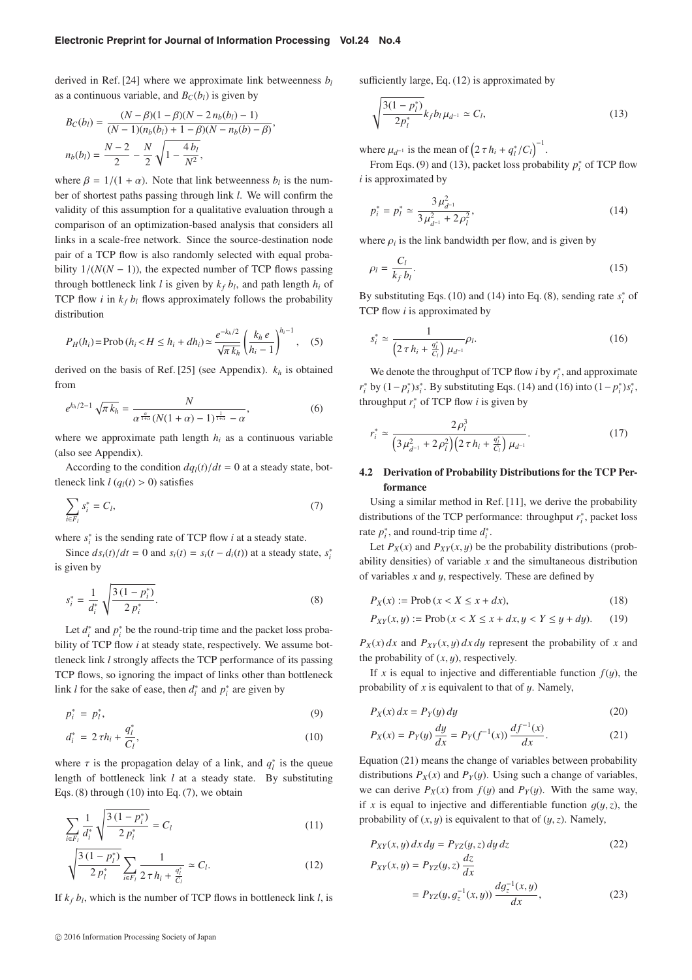#### **Electronic Preprint for Journal of Information Processing Vol.24 No.4**

derived in Ref. [24] where we approximate link betweenness *bl* as a continuous variable, and  $B_C(b_l)$  is given by

$$
B_C(b_l) = \frac{(N - \beta)(1 - \beta)(N - 2n_b(b_l) - 1)}{(N - 1)(n_b(b_l) + 1 - \beta)(N - n_b(b) - \beta)},
$$
  

$$
n_b(b_l) = \frac{N - 2}{2} - \frac{N}{2} \sqrt{1 - \frac{4b_l}{N^2}},
$$

where  $\beta = 1/(1 + \alpha)$ . Note that link betweenness  $b_l$  is the number of shortest paths passing through link *l*. We will confirm the validity of this assumption for a qualitative evaluation through a comparison of an optimization-based analysis that considers all links in a scale-free network. Since the source-destination node pair of a TCP flow is also randomly selected with equal probability  $1/(N(N-1))$ , the expected number of TCP flows passing through bottleneck link  $l$  is given by  $k_f b_l$ , and path length  $h_i$  of TCP flow  $i$  in  $k_f b_l$  flows approximately follows the probability distribution

$$
P_H(h_i) = \text{Prob}\,(h_i < H \le h_i + dh_i) \simeq \frac{e^{-k_h/2}}{\sqrt{\pi \, k_h}} \left(\frac{k_h \, e}{h_i - 1}\right)^{h_i - 1},\tag{5}
$$

derived on the basis of Ref. [25] (see Appendix). *kh* is obtained from

$$
e^{k_h/2 - 1} \sqrt{\pi k_h} = \frac{N}{\alpha^{\frac{\alpha}{1 + \alpha}} (N(1 + \alpha) - 1)^{\frac{1}{1 + \alpha}} - \alpha},
$$
(6)

where we approximate path length  $h_i$  as a continuous variable (also see Appendix).

According to the condition  $dq_l(t)/dt = 0$  at a steady state, bottleneck link  $l (q_l(t) > 0)$  satisfies

$$
\sum_{i \in F_l} s_i^* = C_l,\tag{7}
$$

where  $s_i^*$  is the sending rate of TCP flow *i* at a steady state.

Since  $ds_i(t)/dt = 0$  and  $s_i(t) = s_i(t - d_i(t))$  at a steady state,  $s_i^*$ is given by

$$
s_i^* = \frac{1}{d_i^*} \sqrt{\frac{3(1 - p_i^*)}{2 p_i^*}}.
$$
\n(8)

Let  $d_i^*$  and  $p_i^*$  be the round-trip time and the packet loss probability of TCP flow *i* at steady state, respectively. We assume bottleneck link *l* strongly affects the TCP performance of its passing TCP flows, so ignoring the impact of links other than bottleneck link *l* for the sake of ease, then  $d_i^*$  and  $p_i^*$  are given by

$$
p_i^* = p_i^*,\tag{9}
$$

$$
d_i^* = 2\tau h_i + \frac{q_i^*}{C_l},\tag{10}
$$

where  $\tau$  is the propagation delay of a link, and  $q_l^*$  is the queue<br>largely of hattlepeak link *l* at a standard the Proposition length of bottleneck link *l* at a steady state. By substituting Eqs. (8) through (10) into Eq. (7), we obtain

$$
\sum_{i \in F_l} \frac{1}{d_i^*} \sqrt{\frac{3(1 - p_i^*)}{2 p_i^*}} = C_l \tag{11}
$$

$$
\sqrt{\frac{3\left(1-p_{l}^{*}\right)}{2\,p_{l}^{*}}}\sum_{i\in F_{l}}\frac{1}{2\,\tau\,h_{i}+\frac{q_{l}^{*}}{C_{l}}}\simeq C_{l}.\tag{12}
$$

If  $k_f b_l$ , which is the number of TCP flows in bottleneck link *l*, is

sufficiently large, Eq. (12) is approximated by

$$
\sqrt{\frac{3(1-p_l^*)}{2p_l^*}} k_f b_l \mu_{d^{-1}} \simeq C_l,
$$
\n(13)

where  $\mu_{d^{-1}}$  is the mean of  $(2 \tau h_i + q_i^*/C_l)^{-1}$ .

From Eqs. (9) and (13), packet loss probability  $p_i^*$  of TCP flow *i* is approximated by

$$
p_i^* = p_l^* \simeq \frac{3\,\mu_{d^{-1}}^2}{3\,\mu_{d^{-1}}^2 + 2\,\rho_l^2},\tag{14}
$$

where  $\rho_i$  is the link bandwidth per flow, and is given by

$$
\rho_l = \frac{C_l}{k_f b_l}.\tag{15}
$$

By substituting Eqs. (10) and (14) into Eq. (8), sending rate  $s_i^*$  of TCP flow *i* is approximated by

$$
s_i^* \simeq \frac{1}{\left(2\,\tau\,h_i + \frac{q_i^*}{C_l}\right)\,\mu_{d^{-1}}} \rho_l. \tag{16}
$$

We denote the throughput of TCP flow *i* by  $r_i^*$ , and approximate *r*<sup>\*</sup><sub>*i*</sub> by  $(1 - p_i^*)s_i^*$ . By substituting Eqs. (14) and (16) into  $(1 - p_i^*)s_i^*$ , throughput  $r_i^*$  of TCP flow *i* is given by

$$
r_i^* \simeq \frac{2\rho_l^3}{\left(3\mu_{d^{-1}}^2 + 2\rho_l^2\right)\left(2\,\tau\,h_i + \frac{q_l^*}{C_l}\right)\mu_{d^{-1}}}.\tag{17}
$$

## **4.2 Derivation of Probability Distributions for the TCP Performance**

Using a similar method in Ref. [11], we derive the probability distributions of the TCP performance: throughput *r*<sup>∗</sup> *<sup>i</sup>* , packet loss rate  $p_i^*$ , and round-trip time  $d_i^*$ .

Let  $P_X(x)$  and  $P_{XY}(x, y)$  be the probability distributions (probability densities) of variable *x* and the simultaneous distribution of variables *<sup>x</sup>* and y, respectively. These are defined by

$$
P_X(x) := \text{Prob}\left(x < X \le x + dx\right),\tag{18}
$$

$$
P_{XY}(x, y) := \text{Prob}\,(x < X \le x + dx, y < Y \le y + dy). \tag{19}
$$

 $P_X(x) dx$  and  $P_{XY}(x, y) dx dy$  represent the probability of *x* and the probability of  $(x, y)$ , respectively.

If *x* is equal to injective and differentiable function  $f(y)$ , the probability of  $x$  is equivalent to that of  $y$ . Namely,

$$
P_X(x) dx = P_Y(y) dy
$$
\n(20)

$$
P_X(x) = P_Y(y) \frac{dy}{dx} = P_Y(f^{-1}(x)) \frac{df^{-1}(x)}{dx}.
$$
 (21)

Equation (21) means the change of variables between probability distributions  $P_X(x)$  and  $P_Y(y)$ . Using such a change of variables, we can derive  $P_X(x)$  from  $f(y)$  and  $P_Y(y)$ . With the same way, if *x* is equal to injective and differentiable function  $g(y, z)$ , the probability of  $(x, y)$  is equivalent to that of  $(y, z)$ . Namely,

$$
P_{XY}(x, y) dx dy = P_{YZ}(y, z) dy dz
$$
\n
$$
P_{XY}(x, y) = P_{YZ}(y, z) \frac{dz}{dx}
$$
\n
$$
= P_{YZ}(y, g_z^{-1}(x, y)) \frac{dg_z^{-1}(x, y)}{dx},
$$
\n(23)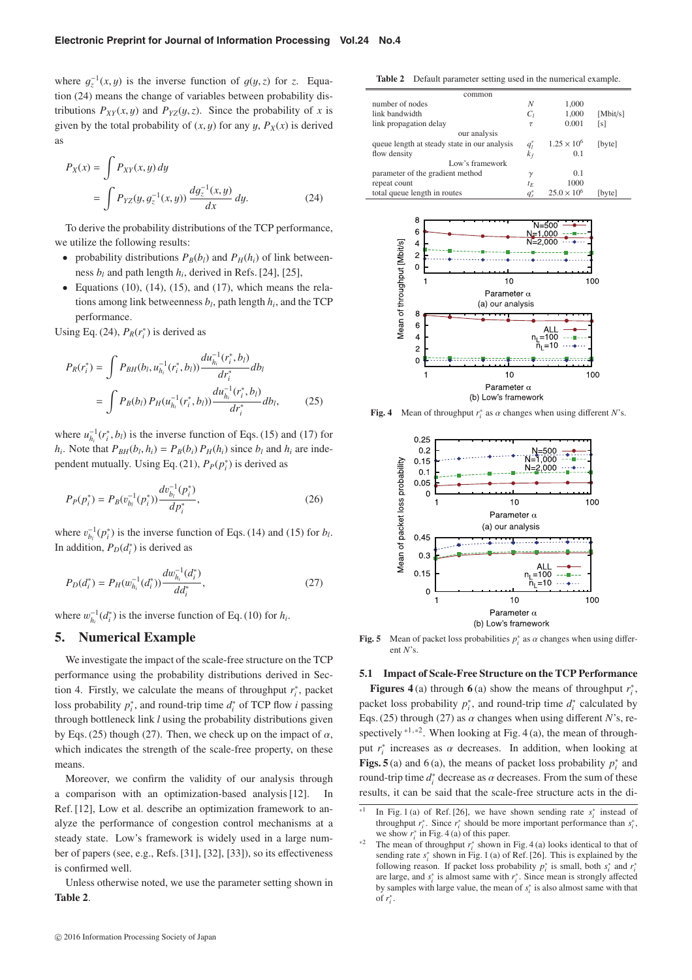where  $g_z^{-1}(x, y)$  is the inverse function of  $g(y, z)$  for *z*. Equation (24) means the change of variables between anobeleilling diation (24) means the change of variables between probability distributions  $P_{XY}(x, y)$  and  $P_{YZ}(y, z)$ . Since the probability of *x* is given by the total probability of  $(x, y)$  for any  $y$ ,  $P_X(x)$  is derived as

$$
P_X(x) = \int P_{XY}(x, y) dy
$$
  
= 
$$
\int P_{YZ}(y, g_z^{-1}(x, y)) \frac{dg_z^{-1}(x, y)}{dx} dy.
$$
 (24)

To derive the probability distributions of the TCP performance, we utilize the following results:

- probability distributions  $P_B(b_l)$  and  $P_H(h_i)$  of link betweenness  $b_l$  and path length  $h_i$ , derived in Refs. [24], [25],
- Equations  $(10)$ ,  $(14)$ ,  $(15)$ , and  $(17)$ , which means the relations among link betweenness  $b_l$ , path length  $h_i$ , and the TCP performance.

Using Eq. (24),  $P_R(r_i^*)$  is derived as

$$
P_R(r_i^*) = \int P_{BH}(b_l, u_{h_i}^{-1}(r_i^*, b_l)) \frac{du_{h_i}^{-1}(r_i^*, b_l)}{dr_i^*} db_l
$$
  
= 
$$
\int P_B(b_l) P_H(u_{h_i}^{-1}(r_i^*, b_l)) \frac{du_{h_i}^{-1}(r_i^*, b_l)}{dr_i^*} db_l,
$$
 (25)

where  $u_{h_i}^{-1}(r_i^*, b_i)$  is the inverse function of Eqs. (15) and (17) for *h<sub>i</sub>*. Note that  $P_{BH}(b_l, h_i) = P_B(b_i) P_H(h_i)$  since  $b_l$  and  $h_i$  are independent mutually. Using Eq. (21),  $P_P(p_i^*)$  is derived as

$$
P_P(p_i^*) = P_B(v_{b_i}^{-1}(p_i^*)) \frac{dv_{b_i}^{-1}(p_i^*)}{dp_i^*},
$$
\n(26)

where  $v_{b_l}^{-1}(p_i^*)$  is the inverse function of Eqs. (14) and (15) for *b<sub>l</sub>*.<br>In addition, **P**<sub>1</sub> (*J*<sup>\*</sup>) is derived as In addition,  $P_D(d_i^*)$  is derived as

$$
P_D(d_i^*) = P_H(w_{h_i}^{-1}(d_i^*)) \frac{dw_{h_i}^{-1}(d_i^*)}{dd_i^*},
$$
\n(27)

where  $w_{h_i}^{-1}(d_i^*)$  is the inverse function of Eq. (10) for  $h_i$ .

## **5. Numerical Example**

We investigate the impact of the scale-free structure on the TCP performance using the probability distributions derived in Section 4. Firstly, we calculate the means of throughput  $r_i^*$ , packet loss probability  $p_i^*$ , and round-trip time  $d_i^*$  of TCP flow *i* passing through bottleneck link *l* using the probability distributions given by Eqs. (25) though (27). Then, we check up on the impact of  $\alpha$ , which indicates the strength of the scale-free property, on these means.

Moreover, we confirm the validity of our analysis through a comparison with an optimization-based analysis [12]. In Ref. [12], Low et al. describe an optimization framework to analyze the performance of congestion control mechanisms at a steady state. Low's framework is widely used in a large number of papers (see, e.g., Refs. [31], [32], [33]), so its effectiveness is confirmed well.

Unless otherwise noted, we use the parameter setting shown in **Table 2**.

**Table 2** Default parameter setting used in the numerical example.

| common                                       |  |                      |          |
|----------------------------------------------|--|----------------------|----------|
| number of nodes                              |  | 1,000                |          |
| link bandwidth                               |  | 1,000                | [Mbit/s] |
| link propagation delay                       |  | 0.001                | [s]      |
| our analysis                                 |  |                      |          |
| queue length at steady state in our analysis |  | $1.25 \times 10^{6}$ | [byte]   |
| flow density                                 |  | 0.1                  |          |
| Low's framework                              |  |                      |          |
| parameter of the gradient method             |  | 0.1                  |          |
| repeat count                                 |  | 1000                 |          |
| total queue length in routes                 |  | $25.0 \times 10^{6}$ | [byte]   |
|                                              |  |                      |          |



**Fig. 4** Mean of throughput  $r_i^*$  as  $\alpha$  changes when using different *N*'s.



**Fig. 5** Mean of packet loss probabilities  $p_i^*$  as  $\alpha$  changes when using different  $N$ 's ent *N*'s.

#### **5.1 Impact of Scale-Free Structure on the TCP Performance**

**Figures 4** (a) through **6** (a) show the means of throughput  $r_i^*$ , packet loss probability  $p_i^*$ , and round-trip time  $d_i^*$  calculated by Eqs. (25) through (27) as  $\alpha$  changes when using different *N*'s, respectively  $*1,*2$ . When looking at Fig. 4 (a), the mean of throughput  $r_i^*$  increases as  $\alpha$  decreases. In addition, when looking at  $\sum_{i=1}^n \mathbf{F}(c_i)$  and  $\mathbf{F}(c_i)$  the means of positet less probability  $x^*$  and **Figs. 5** (a) and 6 (a), the means of packet loss probability  $p_i^*$  and round-trip time  $d_i^*$  decrease as  $\alpha$  decreases. From the sum of these<br>results it can be said that the scale free structure asta in the diresults, it can be said that the scale-free structure acts in the di-

<sup>&</sup>lt;sup>\*1</sup> In Fig. 1 (a) of Ref. [26], we have shown sending rate  $s_i^*$  instead of throughput  $r_i^*$ . Since  $r_i^*$  should be more important performance than  $s_i^*$ , we show  $r_i^*$  in Fig. 4 (a) of this paper.

we show  $r_i^*$  in Fig. 4 (a) of this paper.<br><sup>\*2</sup> The mean of throughput  $r_i^*$  shown in Fig. 4 (a) looks identical to that of sending rate  $s_i^*$  shown in Fig. 1 (a) of Ref. [26]. This is explained by the following reason. If packet loss probability  $p_i^*$  is small, both  $s_i^*$  and  $r_i^*$ are large, and *s*<sup>∗</sup> *<sup>i</sup>* is almost same with *r*<sup>∗</sup> *<sup>i</sup>* . Since mean is strongly affected by samples with large value, the mean of *s*<sup>∗</sup> *<sup>i</sup>* is also almost same with that of *r*<sup>∗</sup> *i* .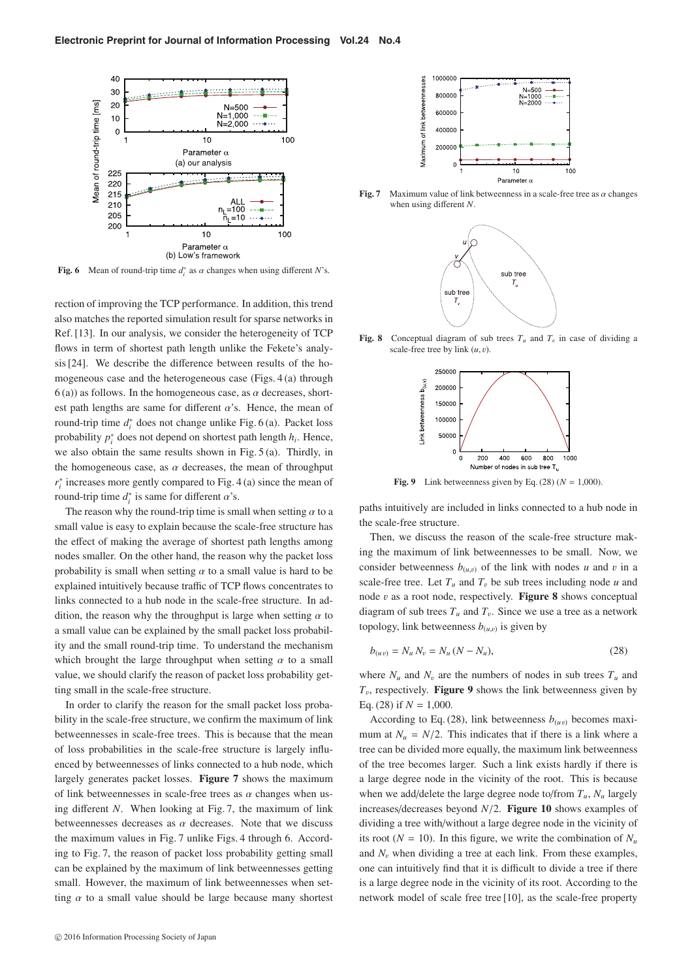

**Fig. 6** Mean of round-trip time  $d_i^*$  as  $\alpha$  changes when using different *N*'s.

rection of improving the TCP performance. In addition, this trend also matches the reported simulation result for sparse networks in Ref. [13]. In our analysis, we consider the heterogeneity of TCP flows in term of shortest path length unlike the Fekete's analysis [24]. We describe the difference between results of the homogeneous case and the heterogeneous case (Figs. 4 (a) through  $6$  (a)) as follows. In the homogeneous case, as  $\alpha$  decreases, shortest path lengths are same for different  $\alpha$ 's. Hence, the mean of round-trip time *d*<sup>∗</sup> *<sup>i</sup>* does not change unlike Fig. 6 (a). Packet loss probability *p*<sup>∗</sup> *<sup>i</sup>* does not depend on shortest path length *hi*. Hence, we also obtain the same results shown in Fig. 5 (a). Thirdly, in the homogeneous case, as  $\alpha$  decreases, the mean of throughput *r*<sup>∗</sup> increases more gently compared to Fig. 4 (a) since the mean of round-trip time  $d_i^*$  is same for different  $\alpha$ 's.<br>The gauge what he gauge dirinting is an

The reason why the round-trip time is small when setting  $\alpha$  to a small value is easy to explain because the scale-free structure has the effect of making the average of shortest path lengths among nodes smaller. On the other hand, the reason why the packet loss probability is small when setting  $\alpha$  to a small value is hard to be explained intuitively because traffic of TCP flows concentrates to links connected to a hub node in the scale-free structure. In addition, the reason why the throughput is large when setting  $\alpha$  to a small value can be explained by the small packet loss probability and the small round-trip time. To understand the mechanism which brought the large throughput when setting  $\alpha$  to a small value, we should clarify the reason of packet loss probability getting small in the scale-free structure.

In order to clarify the reason for the small packet loss probability in the scale-free structure, we confirm the maximum of link betweennesses in scale-free trees. This is because that the mean of loss probabilities in the scale-free structure is largely influenced by betweennesses of links connected to a hub node, which largely generates packet losses. **Figure 7** shows the maximum of link betweennesses in scale-free trees as  $\alpha$  changes when using different *N*. When looking at Fig. 7, the maximum of link betweennesses decreases as  $\alpha$  decreases. Note that we discuss the maximum values in Fig. 7 unlike Figs. 4 through 6. According to Fig. 7, the reason of packet loss probability getting small can be explained by the maximum of link betweennesses getting small. However, the maximum of link betweennesses when setting  $\alpha$  to a small value should be large because many shortest



**Fig. 7** Maximum value of link betweenness in a scale-free tree as  $\alpha$  changes when using different *N*.



**Fig. 8** Conceptual diagram of sub trees  $T_u$  and  $T_v$  in case of dividing a scale-free tree by link (*u*, v).



**Fig. 9** Link betweenness given by Eq. (28) ( $N = 1,000$ ).

paths intuitively are included in links connected to a hub node in the scale-free structure.

Then, we discuss the reason of the scale-free structure making the maximum of link betweennesses to be small. Now, we consider betweenness  $b_{(u,v)}$  of the link with nodes *u* and *v* in a scale-free tree. Let  $T_u$  and  $T_v$  be sub trees including node  $u$  and node v as a root node, respectively. **Figure 8** shows conceptual diagram of sub trees  $T_u$  and  $T_v$ . Since we use a tree as a network topology, link betweenness  $b_{(u,v)}$  is given by

$$
b_{(uv)} = N_u N_v = N_u (N - N_u),
$$
\n(28)

where  $N_u$  and  $N_v$  are the numbers of nodes in sub trees  $T_u$  and *<sup>T</sup>*v, respectively. **Figure 9** shows the link betweenness given by Eq. (28) if *<sup>N</sup>* <sup>=</sup> <sup>1</sup>,000.

According to Eq. (28), link betweenness  $b_{(uv)}$  becomes maximum at  $N_u = N/2$ . This indicates that if there is a link where a tree can be divided more equally, the maximum link betweenness of the tree becomes larger. Such a link exists hardly if there is a large degree node in the vicinity of the root. This is because when we add/delete the large degree node to/from  $T_u$ ,  $N_u$  largely increases/decreases beyond *<sup>N</sup>*/2. **Figure 10** shows examples of dividing a tree with/without a large degree node in the vicinity of its root ( $N = 10$ ). In this figure, we write the combination of  $N_u$ and  $N_v$  when dividing a tree at each link. From these examples, one can intuitively find that it is difficult to divide a tree if there is a large degree node in the vicinity of its root. According to the network model of scale free tree [10], as the scale-free property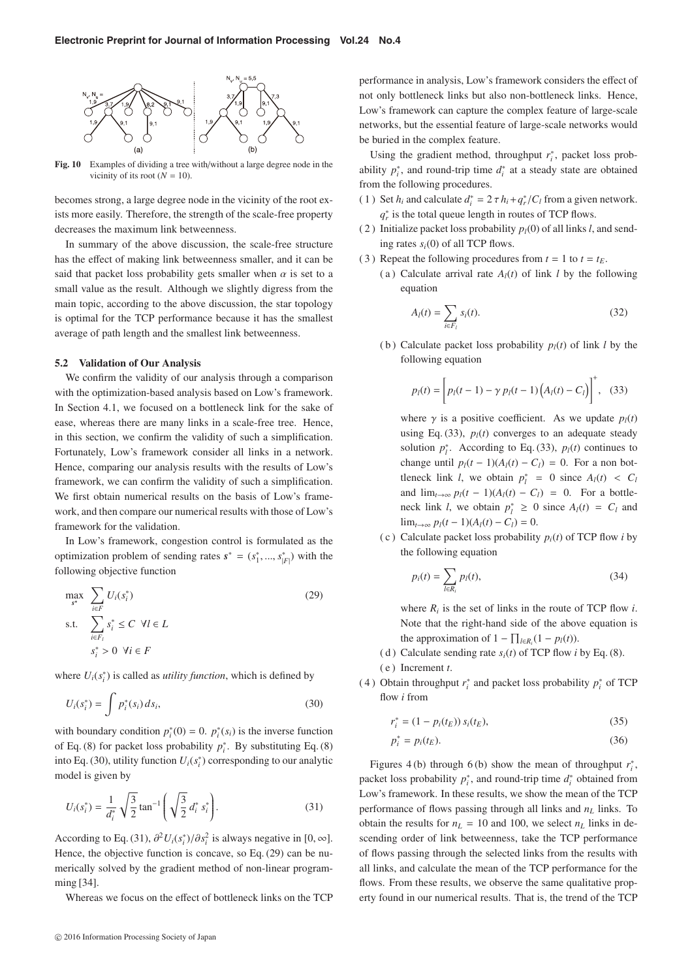

**Fig. 10** Examples of dividing a tree with/without a large degree node in the vicinity of its root  $(N = 10)$ .

becomes strong, a large degree node in the vicinity of the root exists more easily. Therefore, the strength of the scale-free property decreases the maximum link betweenness.

In summary of the above discussion, the scale-free structure has the effect of making link betweenness smaller, and it can be said that packet loss probability gets smaller when  $\alpha$  is set to a small value as the result. Although we slightly digress from the main topic, according to the above discussion, the star topology is optimal for the TCP performance because it has the smallest average of path length and the smallest link betweenness.

#### **5.2 Validation of Our Analysis**

We confirm the validity of our analysis through a comparison with the optimization-based analysis based on Low's framework. In Section 4.1, we focused on a bottleneck link for the sake of ease, whereas there are many links in a scale-free tree. Hence, in this section, we confirm the validity of such a simplification. Fortunately, Low's framework consider all links in a network. Hence, comparing our analysis results with the results of Low's framework, we can confirm the validity of such a simplification. We first obtain numerical results on the basis of Low's framework, and then compare our numerical results with those of Low's framework for the validation.

In Low's framework, congestion control is formulated as the optimization problem of sending rates  $s^* = (s_1^*, \dots, s_{|F|}^*)$  with the fallowing skiesting function following objective function

$$
\max_{s^*} \sum_{i \in F} U_i(s_i^*)
$$
\n
$$
\text{s.t.} \sum_{i \in F_i} s_i^* \le C \ \forall l \in L
$$
\n
$$
s_i^* > 0 \ \forall i \in F
$$
\n
$$
(29)
$$

where  $U_i(s_i^*)$  is called as *utility function*, which is defined by

$$
U_i(s_i^*) = \int p_i^*(s_i) \, ds_i,\tag{30}
$$

with boundary condition  $p_i^*(0) = 0$ .  $p_i^*(s_i)$  is the inverse function of Eq. (8) for packet loss probability  $p_i^*$ . By substituting Eq. (8) into Eq. (30), utility function  $U_i(s_i^*)$  corresponding to our analytic model is given by

$$
U_i(s_i^*) = \frac{1}{d_i^*} \sqrt{\frac{3}{2}} \tan^{-1} \left( \sqrt{\frac{3}{2}} d_i^* s_i^* \right).
$$
 (31)

According to Eq. (31),  $\frac{\partial^2 U_i(s_i^*)}{\partial s_i^2}$  is always negative in [0, ∞].<br>Hence the chiesting function is aggregate as Eq. (20) aggregate Hence, the objective function is concave, so Eq. (29) can be numerically solved by the gradient method of non-linear programming [34].

Whereas we focus on the effect of bottleneck links on the TCP

performance in analysis, Low's framework considers the effect of not only bottleneck links but also non-bottleneck links. Hence, Low's framework can capture the complex feature of large-scale networks, but the essential feature of large-scale networks would be buried in the complex feature.

Using the gradient method, throughput  $r_i^*$ , packet loss probability  $p_i^*$ , and round-trip time  $d_i^*$  at a steady state are obtained from the following procedures.

- (1) Set  $h_i$  and calculate  $d_i^* = 2 \tau h_i + q_r^* / C_l$  from a given network. *q*<sup>∗</sup> is the total queue length in routes of TCP flows.
- (2) Initialize packet loss probability  $p_l(0)$  of all links *l*, and sending rates  $s_i(0)$  of all TCP flows.
- (3) Repeat the following procedures from  $t = 1$  to  $t = t_E$ .
	- (a) Calculate arrival rate  $A_l(t)$  of link *l* by the following equation

$$
A_l(t) = \sum_{i \in F_l} s_i(t). \tag{32}
$$

(b) Calculate packet loss probability  $p_l(t)$  of link *l* by the following equation

$$
p_l(t) = \left[ p_l(t-1) - \gamma p_l(t-1) \left( A_l(t) - C_l \right) \right]^+, (33)
$$

where  $\gamma$  is a positive coefficient. As we update  $p_l(t)$ using Eq. (33),  $p_l(t)$  converges to an adequate steady solution  $p_l^*$ . According to Eq. (33),  $p_l(t)$  continues to change until  $p_l(t-1)(A_l(t) - C_l) = 0$ . For a non bottleneck link *l*, we obtain  $p_l^* = 0$  since  $A_l(t) < C_l$ and  $\lim_{t\to\infty} p_l(t-1)(A_l(t)-C_l) = 0$ . For a bottleneck link *l*, we obtain  $p_l^* \geq 0$  since  $A_l(t) = C_l$  and  $\lim_{t\to\infty} p_l(t-1)(A_l(t) - C_l) = 0.$ 

(c) Calculate packet loss probability  $p_i(t)$  of TCP flow *i* by the following equation

$$
p_i(t) = \sum_{l \in R_i} p_l(t),\tag{34}
$$

where  $R_i$  is the set of links in the route of TCP flow  $i$ . Note that the right-hand side of the above equation is the approximation of  $1 - \prod_{l \in R_i} (1 - p_l(t)).$ 

- (d) Calculate sending rate  $s_i(t)$  of TCP flow *i* by Eq. (8).
- ( e ) Increment *t*.

*r*

*p*∗

(4) Obtain throughput  $r_i^*$  and packet loss probability  $p_i^*$  of TCP flow *i* from

$$
i^* = (1 - p_i(t_E)) s_i(t_E), \tag{35}
$$

$$
i^* = p_i(t_E). \tag{36}
$$

Figures 4(b) through 6(b) show the mean of throughput  $r_i^*$ , packet loss probability  $p_i^*$ , and round-trip time  $d_i^*$  obtained from Low's framework. In these results, we show the mean of the TCP performance of flows passing through all links and  $n<sub>L</sub>$  links. To obtain the results for  $n_L = 10$  and 100, we select  $n_L$  links in descending order of link betweenness, take the TCP performance of flows passing through the selected links from the results with all links, and calculate the mean of the TCP performance for the flows. From these results, we observe the same qualitative property found in our numerical results. That is, the trend of the TCP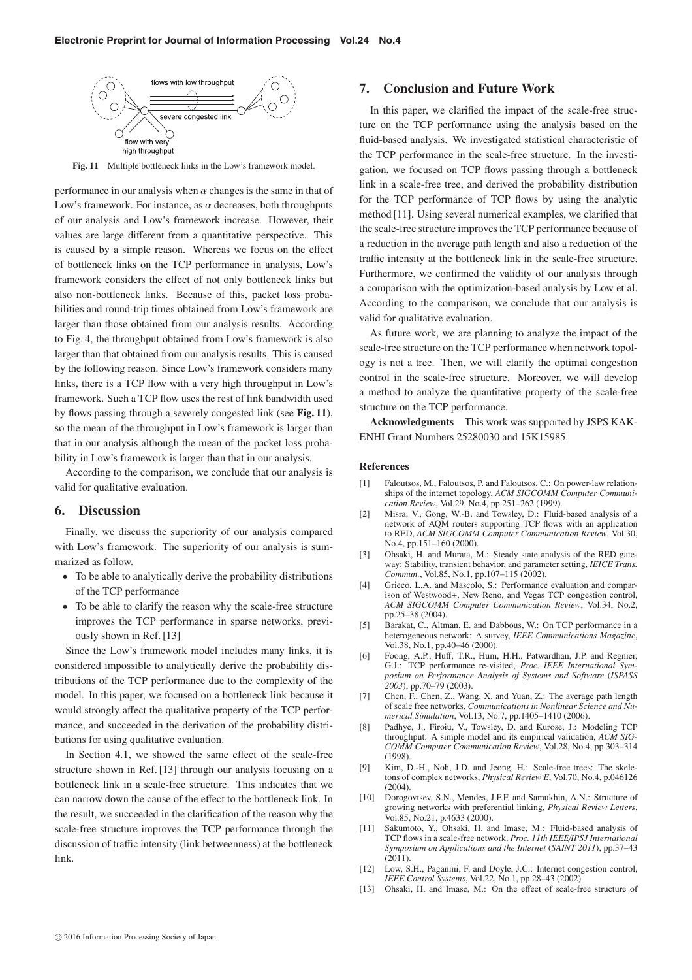

**Fig. 11** Multiple bottleneck links in the Low's framework model.

performance in our analysis when  $\alpha$  changes is the same in that of Low's framework. For instance, as  $\alpha$  decreases, both throughputs of our analysis and Low's framework increase. However, their values are large different from a quantitative perspective. This is caused by a simple reason. Whereas we focus on the effect of bottleneck links on the TCP performance in analysis, Low's framework considers the effect of not only bottleneck links but also non-bottleneck links. Because of this, packet loss probabilities and round-trip times obtained from Low's framework are larger than those obtained from our analysis results. According to Fig. 4, the throughput obtained from Low's framework is also larger than that obtained from our analysis results. This is caused by the following reason. Since Low's framework considers many links, there is a TCP flow with a very high throughput in Low's framework. Such a TCP flow uses the rest of link bandwidth used by flows passing through a severely congested link (see **Fig. 11**), so the mean of the throughput in Low's framework is larger than that in our analysis although the mean of the packet loss probability in Low's framework is larger than that in our analysis.

According to the comparison, we conclude that our analysis is valid for qualitative evaluation.

## **6. Discussion**

Finally, we discuss the superiority of our analysis compared with Low's framework. The superiority of our analysis is summarized as follow.

- To be able to analytically derive the probability distributions of the TCP performance
- To be able to clarify the reason why the scale-free structure improves the TCP performance in sparse networks, previously shown in Ref. [13]

Since the Low's framework model includes many links, it is considered impossible to analytically derive the probability distributions of the TCP performance due to the complexity of the model. In this paper, we focused on a bottleneck link because it would strongly affect the qualitative property of the TCP performance, and succeeded in the derivation of the probability distributions for using qualitative evaluation.

In Section 4.1, we showed the same effect of the scale-free structure shown in Ref. [13] through our analysis focusing on a bottleneck link in a scale-free structure. This indicates that we can narrow down the cause of the effect to the bottleneck link. In the result, we succeeded in the clarification of the reason why the scale-free structure improves the TCP performance through the discussion of traffic intensity (link betweenness) at the bottleneck link.

## **7. Conclusion and Future Work**

In this paper, we clarified the impact of the scale-free structure on the TCP performance using the analysis based on the fluid-based analysis. We investigated statistical characteristic of the TCP performance in the scale-free structure. In the investigation, we focused on TCP flows passing through a bottleneck link in a scale-free tree, and derived the probability distribution for the TCP performance of TCP flows by using the analytic method [11]. Using several numerical examples, we clarified that the scale-free structure improves the TCP performance because of a reduction in the average path length and also a reduction of the traffic intensity at the bottleneck link in the scale-free structure. Furthermore, we confirmed the validity of our analysis through a comparison with the optimization-based analysis by Low et al. According to the comparison, we conclude that our analysis is valid for qualitative evaluation.

As future work, we are planning to analyze the impact of the scale-free structure on the TCP performance when network topology is not a tree. Then, we will clarify the optimal congestion control in the scale-free structure. Moreover, we will develop a method to analyze the quantitative property of the scale-free structure on the TCP performance.

**Acknowledgments** This work was supported by JSPS KAK-ENHI Grant Numbers 25280030 and 15K15985.

#### **References**

- [1] Faloutsos, M., Faloutsos, P. and Faloutsos, C.: On power-law relationships of the internet topology, *ACM SIGCOMM Computer Communication Review*, Vol.29, No.4, pp.251–262 (1999).
- [2] Misra, V., Gong, W.-B. and Towsley, D.: Fluid-based analysis of a network of AQM routers supporting TCP flows with an application to RED, *ACM SIGCOMM Computer Communication Review*, Vol.30, No.4, pp.151–160 (2000).
- [3] Ohsaki, H. and Murata, M.: Steady state analysis of the RED gateway: Stability, transient behavior, and parameter setting, *IEICE Trans. Commun.*, Vol.85, No.1, pp.107–115 (2002).
- [4] Grieco, L.A. and Mascolo, S.: Performance evaluation and comparison of Westwood+, New Reno, and Vegas TCP congestion control, *ACM SIGCOMM Computer Communication Review*, Vol.34, No.2, pp.25–38 (2004).
- [5] Barakat, C., Altman, E. and Dabbous, W.: On TCP performance in a heterogeneous network: A survey, *IEEE Communications Magazine*, Vol.38, No.1, pp.40–46 (2000).
- [6] Foong, A.P., Huff, T.R., Hum, H.H., Patwardhan, J.P. and Regnier, G.J.: TCP performance re-visited, *Proc. IEEE International Symposium on Performance Analysis of Systems and Software* (*ISPASS 2003*), pp.70–79 (2003).
- [7] Chen, F., Chen, Z., Wang, X. and Yuan, Z.: The average path length of scale free networks, *Communications in Nonlinear Science and Numerical Simulation*, Vol.13, No.7, pp.1405–1410 (2006).
- [8] Padhye, J., Firoiu, V., Towsley, D. and Kurose, J.: Modeling TCP throughput: A simple model and its empirical validation, *ACM SIG-COMM Computer Communication Review*, Vol.28, No.4, pp.303–314 (1998).
- [9] Kim, D.-H., Noh, J.D. and Jeong, H.: Scale-free trees: The skeletons of complex networks, *Physical Review E*, Vol.70, No.4, p.046126  $(2004)$ .
- [10] Dorogovtsev, S.N., Mendes, J.F.F. and Samukhin, A.N.: Structure of growing networks with preferential linking, *Physical Review Letters*, Vol.85, No.21, p.4633 (2000).
- [11] Sakumoto, Y., Ohsaki, H. and Imase, M.: Fluid-based analysis of TCP flows in a scale-free network, *Proc. 11th IEEE*/*IPSJ International Symposium on Applications and the Internet* (*SAINT 2011*), pp.37–43  $(2011).$
- [12] Low, S.H., Paganini, F. and Doyle, J.C.: Internet congestion control, *IEEE Control Systems*, Vol.22, No.1, pp.28–43 (2002).
- [13] Ohsaki, H. and Imase, M.: On the effect of scale-free structure of